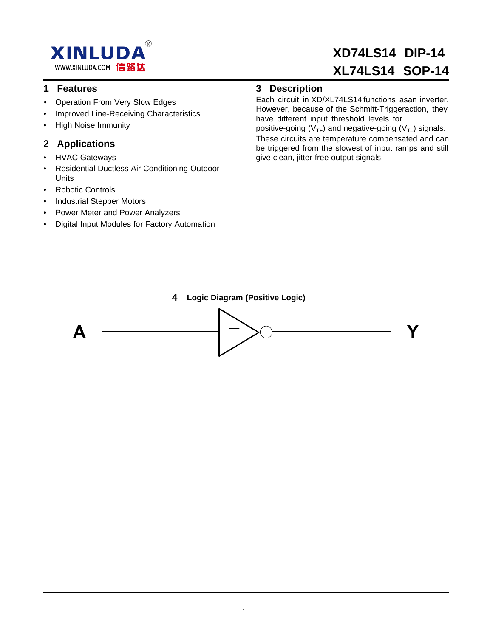

## **1 Features**

- Operation From Very Slow Edges
- Improved Line-Receiving Characteristics
- High Noise Immunity

## **2 Applications**

- HVAC Gateways
- Residential Ductless Air Conditioning Outdoor Units
- Robotic Controls
- Industrial Stepper Motors
- Power Meter and Power Analyzers
- Digital Input Modules for Factory Automation

## **3 Description**

have different input threshold levels for However, because of the Schmitt-Triggeraction, they Each circuit in XD/XL74LS14functions asan inverter.

give clean, jitter-free output signals. be triggered from the slowest of input ramps and still These circuits are temperature compensated and can positive-going ( $V_{T+}$ ) and negative-going ( $V_{T-}$ ) signals.

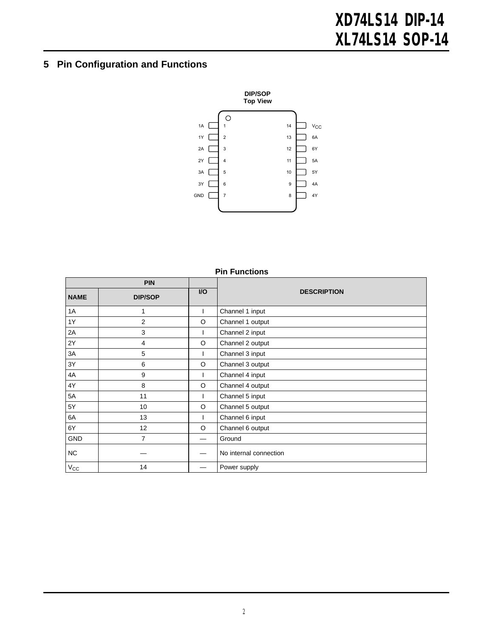## **5 Pin Configuration and Functions**



|              | г III I чичноно |           |                        |  |  |  |  |  |
|--------------|-----------------|-----------|------------------------|--|--|--|--|--|
|              | <b>PIN</b>      |           |                        |  |  |  |  |  |
| <b>NAME</b>  | <b>DIP/SOP</b>  | <b>VO</b> | <b>DESCRIPTION</b>     |  |  |  |  |  |
| 1A           | 1               |           | Channel 1 input        |  |  |  |  |  |
| 1Y           | $\overline{2}$  | O         | Channel 1 output       |  |  |  |  |  |
| 2A           | 3               |           | Channel 2 input        |  |  |  |  |  |
| 2Y           | 4               | O         | Channel 2 output       |  |  |  |  |  |
| 3A           | 5               |           | Channel 3 input        |  |  |  |  |  |
| 3Y           | 6               | O         | Channel 3 output       |  |  |  |  |  |
| 4A           | 9               |           | Channel 4 input        |  |  |  |  |  |
| 4Y           | 8               | $\circ$   | Channel 4 output       |  |  |  |  |  |
| 5A           | 11              |           | Channel 5 input        |  |  |  |  |  |
| 5Y           | 10              | O         | Channel 5 output       |  |  |  |  |  |
| 6A           | 13              |           | Channel 6 input        |  |  |  |  |  |
| 6Y           | 12              | O         | Channel 6 output       |  |  |  |  |  |
| <b>GND</b>   | $\overline{7}$  |           | Ground                 |  |  |  |  |  |
| NC.          |                 |           | No internal connection |  |  |  |  |  |
| $V_{\rm CC}$ | 14              |           | Power supply           |  |  |  |  |  |

**Pin Functions**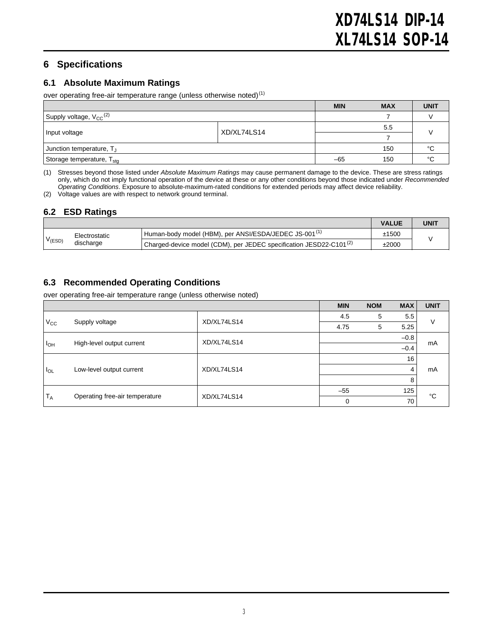## **6 Specifications**

#### **6.1 Absolute Maximum Ratings**

over operating free-air temperature range (unless otherwise noted)<sup>(1)</sup>

|                                                |  | <b>MIN</b>         | <b>MAX</b> | <b>UNIT</b> |  |
|------------------------------------------------|--|--------------------|------------|-------------|--|
| Supply voltage, V <sub>CC</sub> <sup>(2)</sup> |  |                    |            |             |  |
|                                                |  |                    | 5.5        |             |  |
| XD/XL74LS14<br>Input voltage                   |  |                    |            |             |  |
| Junction temperature, T <sub>J</sub>           |  |                    | 150        | °C          |  |
| Storage temperature, T <sub>stg</sub>          |  | °C<br>150<br>$-65$ |            |             |  |

(1) Stresses beyond those listed under *Absolute Maximum Ratings* may cause permanent damage to the device. These are stress ratings only, which do not imply functional operation of the device at these or any other conditions beyond those indicated under *Recommended Operating Conditions*. Exposure to absolute-maximum-rated conditions for extended periods may affect device reliability.

(2) Voltage values are with respect to network ground terminal.

#### **6.2 ESD Ratings**

|           |                            |                                                                       | <b>VALUE</b> | <b>UNIT</b> |  |
|-----------|----------------------------|-----------------------------------------------------------------------|--------------|-------------|--|
| $V$ (ESD) | Electrostatic<br>discharge | Human-body model (HBM), per ANSI/ESDA/JEDEC JS-001 <sup>(1)</sup>     | ±1500        |             |  |
|           |                            | Charged-device model (CDM), per JEDEC specification JESD22-C101 $(2)$ | ±2000        |             |  |

### <span id="page-2-0"></span>**6.3 Recommended Operating Conditions**

over operating free-air temperature range (unless otherwise noted)

|                 |                                |             | <b>MIN</b> | <b>NOM</b> | <b>MAX</b> | <b>UNIT</b> |
|-----------------|--------------------------------|-------------|------------|------------|------------|-------------|
| $V_{\rm CC}$    | Supply voltage                 | XD/XL74LS14 | 4.5        | 5          | 5.5        | v           |
|                 |                                |             | 4.75       | 5          | 5.25       |             |
| I <sub>OH</sub> | High-level output current      | XD/XL74LS14 |            |            | $-0.8$     | mA          |
|                 |                                |             |            |            | $-0.4$     |             |
| $I_{OL}$        | Low-level output current       | XD/XL74LS14 |            |            | 16         | mA          |
|                 |                                |             |            |            | 4          |             |
|                 |                                |             |            |            | 8          |             |
| $T_A$           | Operating free-air temperature |             | $-55$      |            | 125        | °C          |
|                 |                                | XD/XL74LS14 | 0          |            | 70         |             |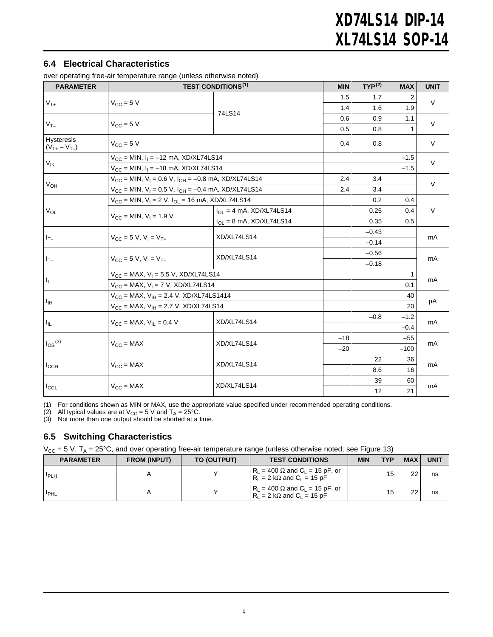#### **6.4 Electrical Characteristics**

over operating free-air temperature range (unless otherwise noted)

| <b>PARAMETER</b>                  | $\sim$ . Sportainly 1100 and tomporature range (annoue other modernoted)<br><b>TEST CONDITIONS<sup>(1)</sup></b> |                              |       | $TYP^{(2)}$ | <b>MAX</b> | <b>UNIT</b> |
|-----------------------------------|------------------------------------------------------------------------------------------------------------------|------------------------------|-------|-------------|------------|-------------|
|                                   |                                                                                                                  |                              | 1.5   | 1.7         | 2          |             |
| $V_{T+}$                          | $V_{CC}$ = 5 V                                                                                                   |                              | 1.4   | 1.6         | 1.9        | $\vee$      |
| $V_{T-}$                          |                                                                                                                  | 74LS14                       | 0.6   | 0.9         | 1.1        |             |
|                                   | $V_{\text{CC}} = 5$ V                                                                                            |                              | 0.5   | 0.8         |            | $\vee$      |
| Hysteresis<br>$(V_{T+} - V_{T-})$ | $V_{CC}$ = 5 V                                                                                                   |                              |       | 0.8         |            | $\vee$      |
|                                   | $V_{CC}$ = MIN, $I_1$ = -12 mA, XD/XL74LS14                                                                      |                              |       |             | $-1.5$     | $\vee$      |
| $V_{\text{IK}}$                   | $V_{CC}$ = MIN, $I_1$ = -18 mA, XD/XL74LS14                                                                      |                              |       |             | $-1.5$     |             |
|                                   | $V_{CC}$ = MIN, $V_1$ = 0.6 V, $I_{OH}$ = -0.8 mA, XD/XL74LS14                                                   |                              | 2.4   | 3.4         |            | $\vee$      |
| $V_{OH}$                          | $V_{CC}$ = MIN, $V_1$ = 0.5 V, $I_{OH}$ = -0.4 mA, XD/XL74LS14                                                   |                              | 2.4   | 3.4         |            |             |
|                                   | $V_{CC}$ = MIN, $V_1$ = 2 V, $I_{OL}$ = 16 mA, XD/XL74LS14                                                       |                              |       | 0.2         | 0.4        |             |
| $V_{OL}$                          | $V_{CC}$ = MIN, $V_1$ = 1.9 V                                                                                    | $I_{OL} = 4$ mA, XD/XL74LS14 |       | 0.25        | 0.4        | V           |
|                                   |                                                                                                                  | $I_{OL}$ = 8 mA, XD/XL74LS14 |       | 0.35        | 0.5        |             |
|                                   | $V_{CC} = 5 V$ , $V_1 = V_{T+}$                                                                                  | XD/XL74LS14                  |       | $-0.43$     |            |             |
| $I_{T+}$                          |                                                                                                                  |                              |       | $-0.14$     |            | mA          |
|                                   | $V_{CC} = 5 V$ , $V_1 = V_{T-}$                                                                                  | XD/XL74LS14                  |       | $-0.56$     |            | mA          |
| $I_{T-}$                          |                                                                                                                  |                              |       | $-0.18$     |            |             |
|                                   | $V_{CC}$ = MAX, $V_1$ = 5.5 V, XD/XL74LS14                                                                       |                              |       |             | 1          | mA          |
| $\mathbf{I}_{\text{L}}$           | $V_{CC}$ = MAX, $V_1$ = 7 V, XD/XL74LS14                                                                         |                              |       |             | 0.1        |             |
|                                   | $V_{CC}$ = MAX, $V_{IH}$ = 2.4 V, XD/XL74LS1414                                                                  |                              |       |             | 40         |             |
| ŀщ                                | $V_{CC}$ = MAX, $V_{IH}$ = 2.7 V, XD/XL74LS14                                                                    |                              |       |             | 20         | μA          |
|                                   | $V_{CC}$ = MAX, $V_{II}$ = 0.4 V                                                                                 | XD/XL74LS14                  |       | $-0.8$      | $-1.2$     | mA          |
| $I_{\rm IL}$                      |                                                                                                                  |                              |       |             | $-0.4$     |             |
|                                   | $V_{CC}$ = MAX                                                                                                   |                              | $-18$ |             | $-55$      |             |
| $I_{OS}$ <sup>(3)</sup>           |                                                                                                                  | XD/XL74LS14                  | $-20$ |             | $-100$     | mA          |
|                                   | $V_{CC}$ = MAX                                                                                                   | XD/XL74LS14                  |       | 22          | 36         | mA          |
| $I_{CCH}$                         |                                                                                                                  |                              |       | 8.6         | 16         |             |
|                                   |                                                                                                                  | XD/XL74LS14                  |       | 39          | 60         | mA          |
| $I_{CCL}$                         | $V_{CC}$ = MAX                                                                                                   |                              |       | 12          | 21         |             |

(1) For conditions shown as MIN or MAX, use the appropriate value specified under recommended operating conditions.

(2) All typical values are at V<sub>CC</sub> = 5 V and T<sub>A</sub> = 25°C.<br>(3) Not more than one output should be shorted at a time.

#### **6.5 Switching Characteristics**

 $V_{CC}$  = 5 V, T<sub>A</sub> = 25°C, and over operating free-air temperature range (unless otherwise noted; see [Figure](#page-6-0) 13)

| <b>PARAMETER</b> | <b>FROM (INPUT)</b> | TO (OUTPUT) | <b>TEST CONDITIONS</b>                                                          | <b>MIN</b> | TYP | <b>MAX</b> | <b>UNIT</b> |
|------------------|---------------------|-------------|---------------------------------------------------------------------------------|------------|-----|------------|-------------|
| <b>TPLH</b>      |                     |             | $R_1 = 400 \Omega$ and $C_1 = 15$ pF, or<br>$R_1 = 2 k\Omega$ and $C_1 = 15 pF$ |            | 15  | 22         | ns          |
| t <sub>PHL</sub> |                     |             | $R_1 = 400 \Omega$ and $C_1 = 15$ pF, or<br>$R_1 = 2 k\Omega$ and $C_1 = 15 pF$ |            | 15  | 22         | ns          |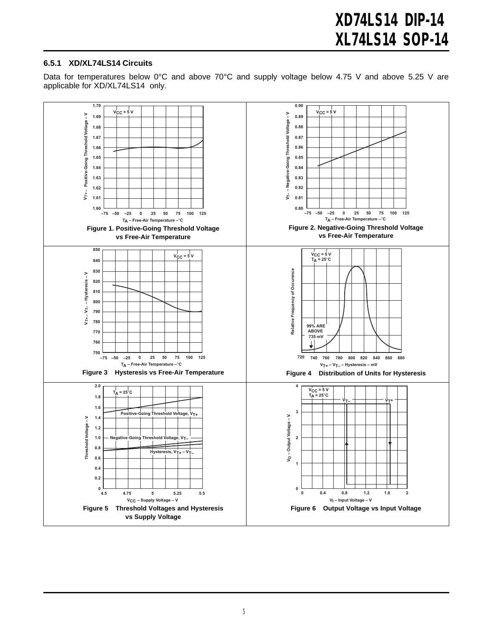#### **6.5.1 XD/XL74LS14 Circuits**

Data for temperatures below 0°C and above 70°C and supply voltage below 4.75 V and above 5.25 V are applicable for XD/XL74LS14 only.

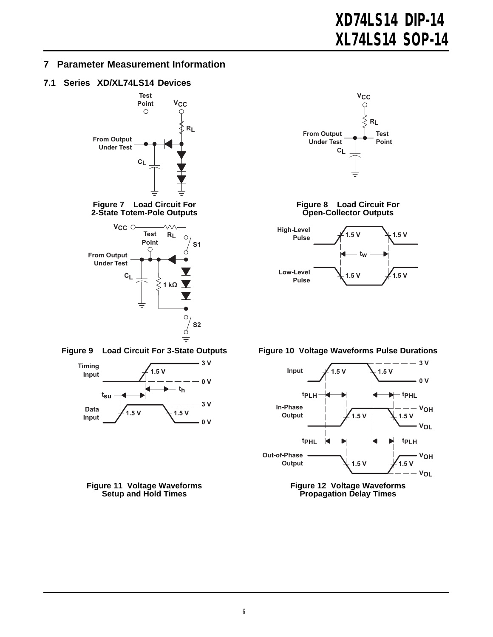### **7 Parameter Measurement Information**

#### **7.1 Series XD/XL74LS14 Devices**









**Figure 11 Voltage Waveforms Setup and Hold Times**











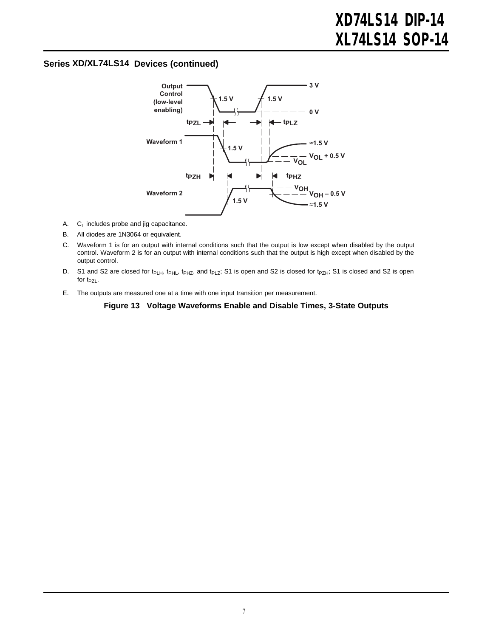#### **Series XD/XL74LS14 Devices (continued)**



- A.  $C_L$  includes probe and jig capacitance.
- B. All diodes are 1N3064 or equivalent.
- C. Waveform 1 is for an output with internal conditions such that the output is low except when disabled by the output control. Waveform 2 is for an output with internal conditions such that the output is high except when disabled by the output control.
- D. S1 and S2 are closed for t<sub>PLH</sub>, t<sub>PHL</sub>, t<sub>PHZ</sub>, and t<sub>PLZ</sub>; S1 is open and S2 is closed for t<sub>PZH</sub>; S1 is closed and S2 is open for  $t_{PZL}$ .
- <span id="page-6-0"></span>E. The outputs are measured one at a time with one input transition per measurement.

#### **Figure 13 Voltage Waveforms Enable and Disable Times, 3-State Outputs**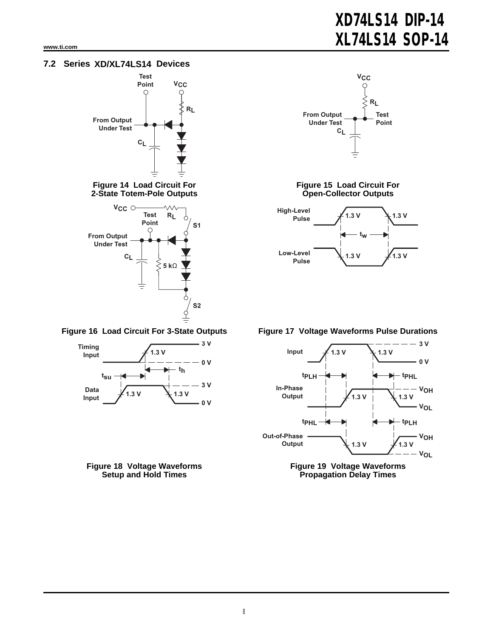## **7.2 Series XD/XL74LS14 Devices**



**Figure 14 Load Circuit For 2-State Totem-Pole Outputs**









#### **Figure 15 Load Circuit For Open-Collector Outputs**



**Figure 16 Load Circuit For 3-State Outputs Figure 17 Voltage Waveforms Pulse Durations**



**Figure 19 Voltage Waveforms Propagation Delay Times**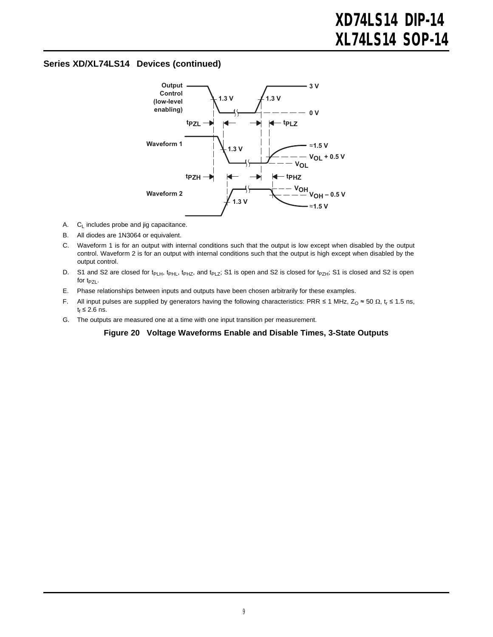#### **Series XD/XL74LS14 Devices (continued)**



- A.  $C_L$  includes probe and jig capacitance.
- B. All diodes are 1N3064 or equivalent.
- C. Waveform 1 is for an output with internal conditions such that the output is low except when disabled by the output control. Waveform 2 is for an output with internal conditions such that the output is high except when disabled by the output control.
- D. S1 and S2 are closed for t<sub>PLH</sub>, t<sub>PHL</sub>, t<sub>PHZ</sub>, and t<sub>PLZ</sub>; S1 is open and S2 is closed for t<sub>PZH</sub>; S1 is closed and S2 is open for  $t_{PZL}$ .
- E. Phase relationships between inputs and outputs have been chosen arbitrarily for these examples.
- F. All input pulses are supplied by generators having the following characteristics: PRR ≤ 1 MHz, Z<sub>O</sub> ≈ 50 Ω, t<sub>r</sub> ≤ 1.5 ns,  $t_f \leq 2.6$  ns.
- G. The outputs are measured one at a time with one input transition per measurement.

#### **Figure 20 Voltage Waveforms Enable and Disable Times, 3-State Outputs**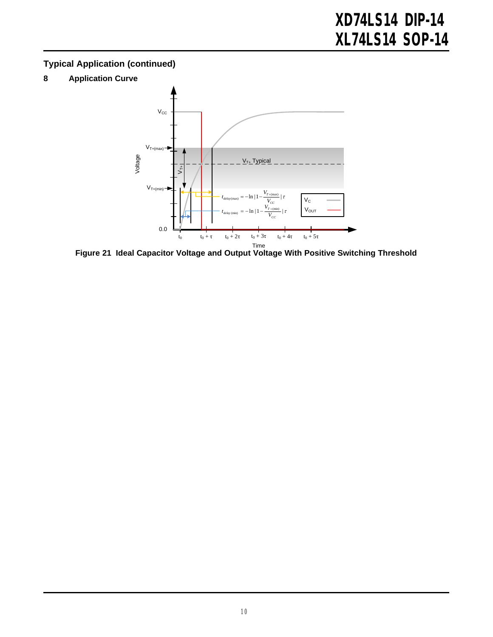## **Typical Application (continued)**

**8 Application Curve**



**Figure 21 Ideal Capacitor Voltage and Output Voltage With Positive Switching Threshold**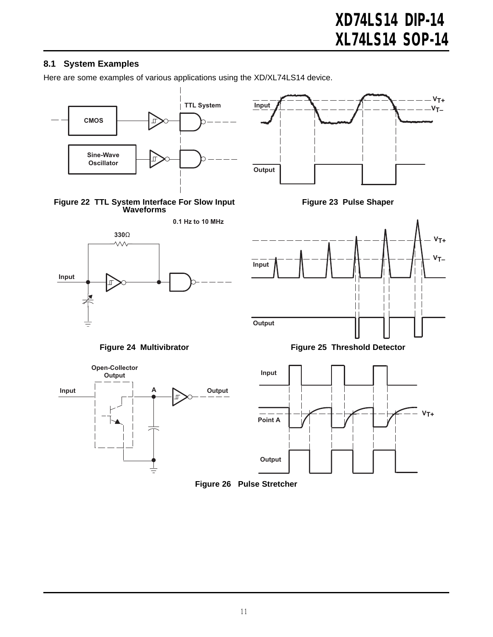## **8.1 System Examples**

Here are some examples of various applications using the XD/XL74LS14 device.

















**Figure 24 Multivibrator Figure 25 Threshold Detector**



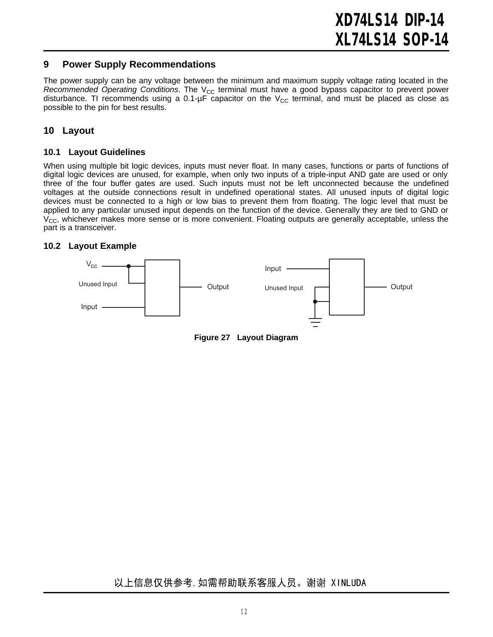#### **9 Power Supply Recommendations**

The power supply can be any voltage between the minimum and maximum supply voltage rating located in the *[Recommended](#page-2-0) Operating Conditions*. The V<sub>CC</sub> terminal must have a good bypass capacitor to prevent power disturbance. TI recommends using a 0.1- $\mu$ F capacitor on the V<sub>CC</sub> terminal, and must be placed as close as possible to the pin for best results.

#### **10 Layout**

#### **10.1 Layout Guidelines**

When using multiple bit logic devices, inputs must never float. In many cases, functions or parts of functions of digital logic devices are unused, for example, when only two inputs of a triple-input AND gate are used or only three of the four buffer gates are used. Such inputs must not be left unconnected because the undefined voltages at the outside connections result in undefined operational states. All unused inputs of digital logic devices must be connected to a high or low bias to prevent them from floating. The logic level that must be applied to any particular unused input depends on the function of the device. Generally they are tied to GND or  $V_{\text{CC}}$ , whichever makes more sense or is more convenient. Floating outputs are generally acceptable, unless the part is a transceiver.

#### **10.2 Layout Example**



**Figure 27 Layout Diagram**

## 以上信息仅供参考. 如需帮助联系客服人员。谢谢 XINLUDA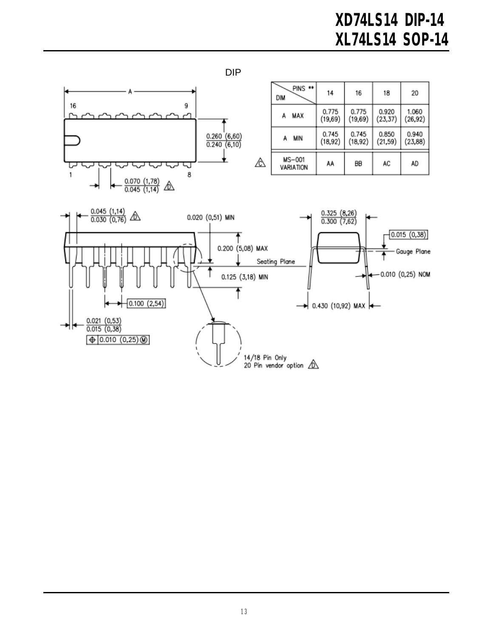